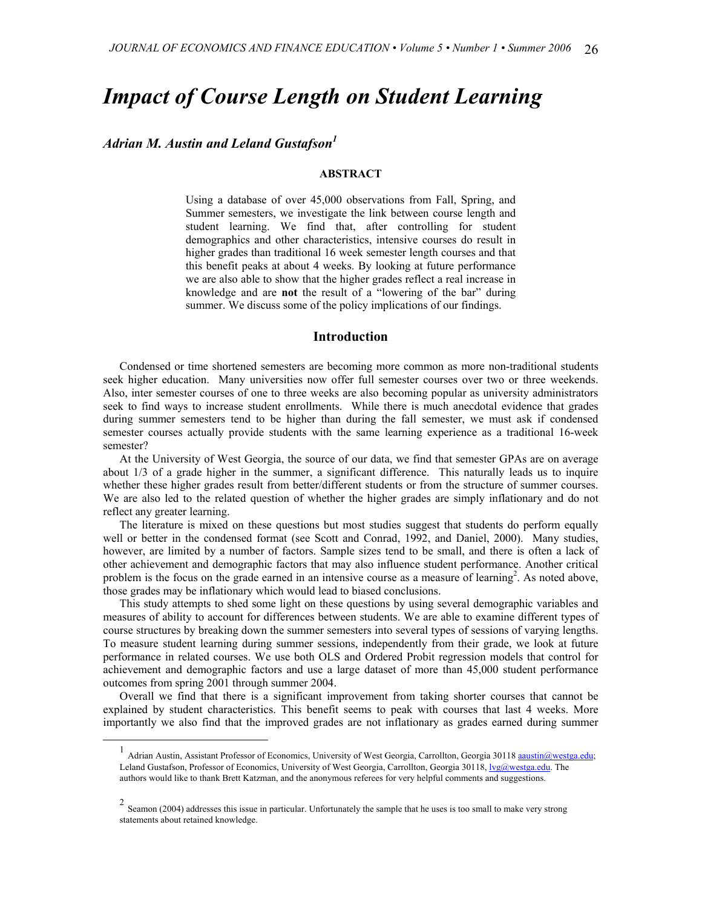# *Impact of Course Length on Student Learning*

# *Adrian M. Austin and Leland Gustafson[1](#page-0-0)*

## **ABSTRACT**

Using a database of over 45,000 observations from Fall, Spring, and Summer semesters, we investigate the link between course length and student learning. We find that, after controlling for student demographics and other characteristics, intensive courses do result in higher grades than traditional 16 week semester length courses and that this benefit peaks at about 4 weeks. By looking at future performance we are also able to show that the higher grades reflect a real increase in knowledge and are **not** the result of a "lowering of the bar" during summer. We discuss some of the policy implications of our findings.

#### **Introduction**

Condensed or time shortened semesters are becoming more common as more non-traditional students seek higher education. Many universities now offer full semester courses over two or three weekends. Also, inter semester courses of one to three weeks are also becoming popular as university administrators seek to find ways to increase student enrollments. While there is much anecdotal evidence that grades during summer semesters tend to be higher than during the fall semester, we must ask if condensed semester courses actually provide students with the same learning experience as a traditional 16-week semester?

At the University of West Georgia, the source of our data, we find that semester GPAs are on average about 1/3 of a grade higher in the summer, a significant difference. This naturally leads us to inquire whether these higher grades result from better/different students or from the structure of summer courses. We are also led to the related question of whether the higher grades are simply inflationary and do not reflect any greater learning.

The literature is mixed on these questions but most studies suggest that students do perform equally well or better in the condensed format (see Scott and Conrad, 1992, and Daniel, 2000). Many studies, however, are limited by a number of factors. Sample sizes tend to be small, and there is often a lack of other achievement and demographic factors that may also influence student performance. Another critical problem is the focus on the grade earned in an intensive course as a measure of learning<sup>[2](#page-0-1)</sup>. As noted above, those grades may be inflationary which would lead to biased conclusions.

This study attempts to shed some light on these questions by using several demographic variables and measures of ability to account for differences between students. We are able to examine different types of course structures by breaking down the summer semesters into several types of sessions of varying lengths. To measure student learning during summer sessions, independently from their grade, we look at future performance in related courses. We use both OLS and Ordered Probit regression models that control for achievement and demographic factors and use a large dataset of more than 45,000 student performance outcomes from spring 2001 through summer 2004.

Overall we find that there is a significant improvement from taking shorter courses that cannot be explained by student characteristics. This benefit seems to peak with courses that last 4 weeks. More importantly we also find that the improved grades are not inflationary as grades earned during summer

<span id="page-0-0"></span>Adrian Austin, Assistant Professor of Economics, University of West Georgia, Carrollton, Georgia 30118 [aaustin@westga.edu;](mailto:aaustin@westga.edu) Leland Gustafson, Professor of Economics, University of West Georgia, Carrollton, Georgia 30118, [lvg@westga.ed](mailto:lvg@westga.edu)u. The authors would like to thank Brett Katzman, and the anonymous referees for very helpful comments and suggestions.

<span id="page-0-1"></span> $2$  Seamon (2004) addresses this issue in particular. Unfortunately the sample that he uses is too small to make very strong statements about retained knowledge.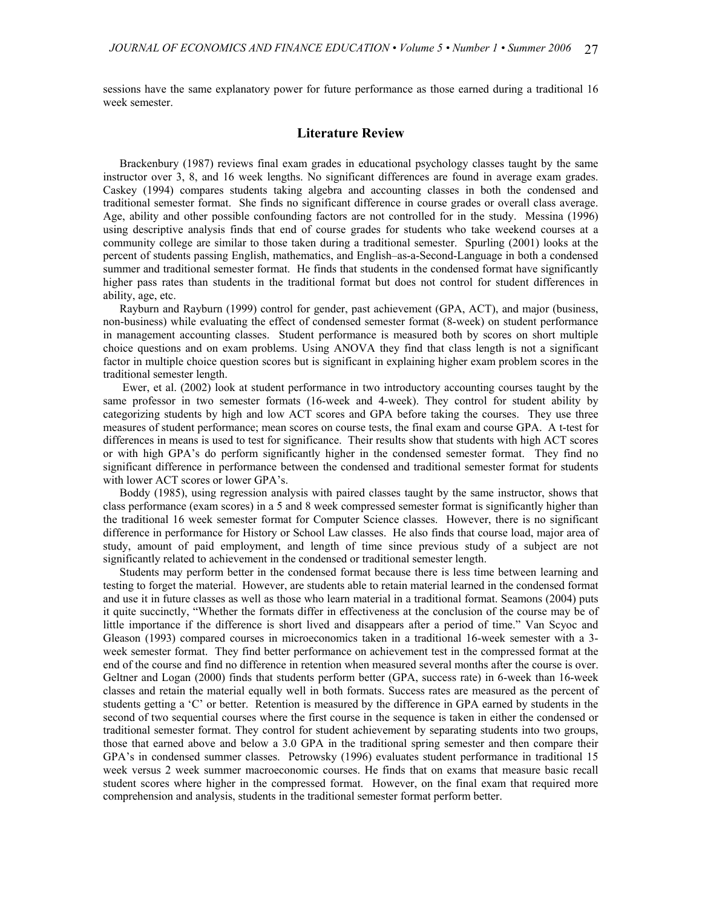sessions have the same explanatory power for future performance as those earned during a traditional 16 week semester.

## **Literature Review**

Brackenbury (1987) reviews final exam grades in educational psychology classes taught by the same instructor over 3, 8, and 16 week lengths. No significant differences are found in average exam grades. Caskey (1994) compares students taking algebra and accounting classes in both the condensed and traditional semester format. She finds no significant difference in course grades or overall class average. Age, ability and other possible confounding factors are not controlled for in the study. Messina (1996) using descriptive analysis finds that end of course grades for students who take weekend courses at a community college are similar to those taken during a traditional semester. Spurling (2001) looks at the percent of students passing English, mathematics, and English–as-a-Second-Language in both a condensed summer and traditional semester format. He finds that students in the condensed format have significantly higher pass rates than students in the traditional format but does not control for student differences in ability, age, etc.

Rayburn and Rayburn (1999) control for gender, past achievement (GPA, ACT), and major (business, non-business) while evaluating the effect of condensed semester format (8-week) on student performance in management accounting classes. Student performance is measured both by scores on short multiple choice questions and on exam problems. Using ANOVA they find that class length is not a significant factor in multiple choice question scores but is significant in explaining higher exam problem scores in the traditional semester length.

Ewer, et al. (2002) look at student performance in two introductory accounting courses taught by the same professor in two semester formats (16-week and 4-week). They control for student ability by categorizing students by high and low ACT scores and GPA before taking the courses. They use three measures of student performance; mean scores on course tests, the final exam and course GPA. A t-test for differences in means is used to test for significance. Their results show that students with high ACT scores or with high GPA's do perform significantly higher in the condensed semester format. They find no significant difference in performance between the condensed and traditional semester format for students with lower ACT scores or lower GPA's.

Boddy (1985), using regression analysis with paired classes taught by the same instructor, shows that class performance (exam scores) in a 5 and 8 week compressed semester format is significantly higher than the traditional 16 week semester format for Computer Science classes. However, there is no significant difference in performance for History or School Law classes. He also finds that course load, major area of study, amount of paid employment, and length of time since previous study of a subject are not significantly related to achievement in the condensed or traditional semester length.

Students may perform better in the condensed format because there is less time between learning and testing to forget the material. However, are students able to retain material learned in the condensed format and use it in future classes as well as those who learn material in a traditional format. Seamons (2004) puts it quite succinctly, "Whether the formats differ in effectiveness at the conclusion of the course may be of little importance if the difference is short lived and disappears after a period of time." Van Scyoc and Gleason (1993) compared courses in microeconomics taken in a traditional 16-week semester with a 3 week semester format. They find better performance on achievement test in the compressed format at the end of the course and find no difference in retention when measured several months after the course is over. Geltner and Logan (2000) finds that students perform better (GPA, success rate) in 6-week than 16-week classes and retain the material equally well in both formats. Success rates are measured as the percent of students getting a 'C' or better. Retention is measured by the difference in GPA earned by students in the second of two sequential courses where the first course in the sequence is taken in either the condensed or traditional semester format. They control for student achievement by separating students into two groups, those that earned above and below a 3.0 GPA in the traditional spring semester and then compare their GPA's in condensed summer classes. Petrowsky (1996) evaluates student performance in traditional 15 week versus 2 week summer macroeconomic courses. He finds that on exams that measure basic recall student scores where higher in the compressed format. However, on the final exam that required more comprehension and analysis, students in the traditional semester format perform better.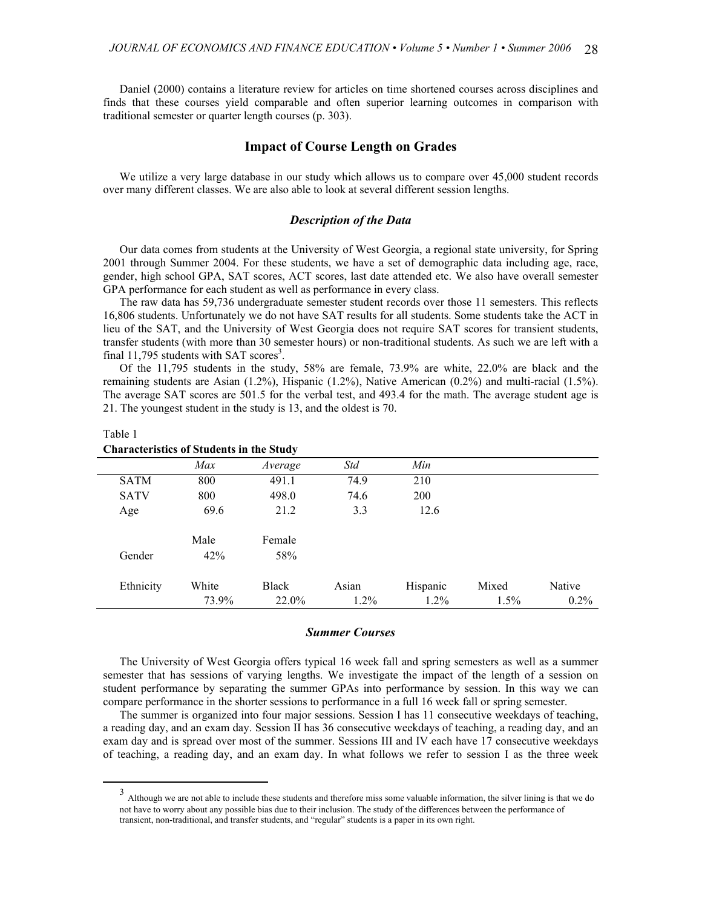Daniel (2000) contains a literature review for articles on time shortened courses across disciplines and finds that these courses yield comparable and often superior learning outcomes in comparison with traditional semester or quarter length courses (p. 303).

# **Impact of Course Length on Grades**

We utilize a very large database in our study which allows us to compare over 45,000 student records over many different classes. We are also able to look at several different session lengths.

## *Description of the Data*

Our data comes from students at the University of West Georgia, a regional state university, for Spring 2001 through Summer 2004. For these students, we have a set of demographic data including age, race, gender, high school GPA, SAT scores, ACT scores, last date attended etc. We also have overall semester GPA performance for each student as well as performance in every class.

The raw data has 59,736 undergraduate semester student records over those 11 semesters. This reflects 16,806 students. Unfortunately we do not have SAT results for all students. Some students take the ACT in lieu of the SAT, and the University of West Georgia does not require SAT scores for transient students, transfer students (with more than 30 semester hours) or non-traditional students. As such we are left with a final 11,795 students with SAT scores<sup>[3](#page-2-0)</sup>.

Of the 11,795 students in the study, 58% are female, 73.9% are white, 22.0% are black and the remaining students are Asian (1.2%), Hispanic (1.2%), Native American (0.2%) and multi-racial (1.5%). The average SAT scores are 501.5 for the verbal test, and 493.4 for the math. The average student age is 21. The youngest student in the study is 13, and the oldest is 70.

| Characteristics of Students in the Study |       |              |         |          |         |         |  |
|------------------------------------------|-------|--------------|---------|----------|---------|---------|--|
|                                          | Max   | Average      | Std     | Min      |         |         |  |
| <b>SATM</b>                              | 800   | 491.1        | 74.9    | 210      |         |         |  |
| <b>SATV</b>                              | 800   | 498.0        | 74.6    | 200      |         |         |  |
| Age                                      | 69.6  | 21.2         | 3.3     | 12.6     |         |         |  |
|                                          | Male  | Female       |         |          |         |         |  |
| Gender                                   | 42%   | 58%          |         |          |         |         |  |
| Ethnicity                                | White | <b>Black</b> | Asian   | Hispanic | Mixed   | Native  |  |
|                                          | 73.9% | 22.0%        | $1.2\%$ | $1.2\%$  | $1.5\%$ | $0.2\%$ |  |

## Table 1

## **Characteristics of Students in the Study**

#### *Summer Courses*

The University of West Georgia offers typical 16 week fall and spring semesters as well as a summer semester that has sessions of varying lengths. We investigate the impact of the length of a session on student performance by separating the summer GPAs into performance by session. In this way we can compare performance in the shorter sessions to performance in a full 16 week fall or spring semester.

The summer is organized into four major sessions. Session I has 11 consecutive weekdays of teaching, a reading day, and an exam day. Session II has 36 consecutive weekdays of teaching, a reading day, and an exam day and is spread over most of the summer. Sessions III and IV each have 17 consecutive weekdays of teaching, a reading day, and an exam day. In what follows we refer to session I as the three week

<span id="page-2-0"></span> <sup>3</sup> Although we are not able to include these students and therefore miss some valuable information, the silver lining is that we do not have to worry about any possible bias due to their inclusion. The study of the differences between the performance of transient, non-traditional, and transfer students, and "regular" students is a paper in its own right.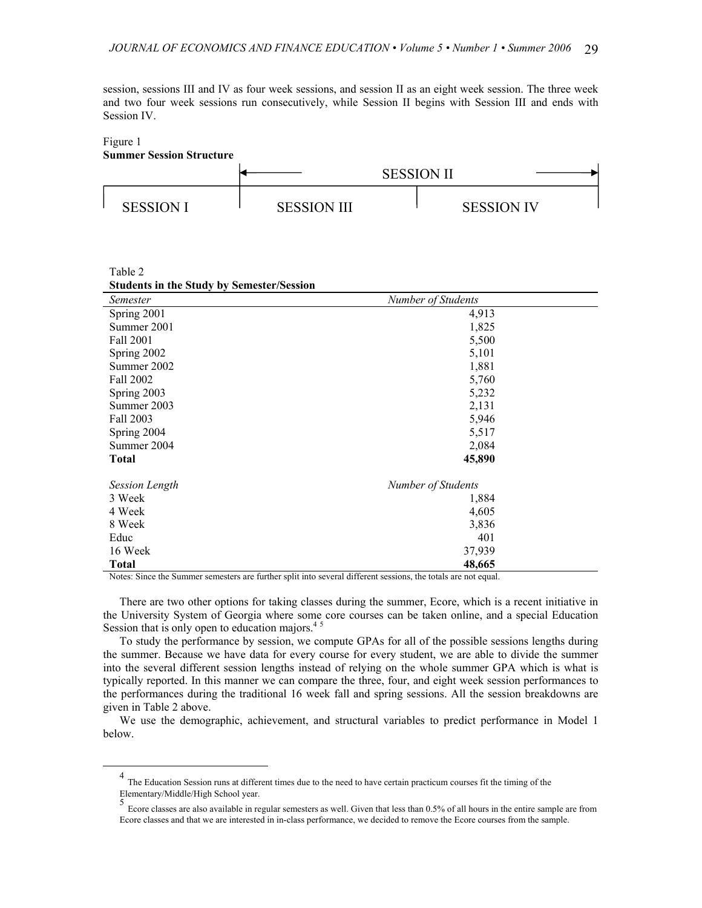session, sessions III and IV as four week sessions, and session II as an eight week session. The three week and two four week sessions run consecutively, while Session II begins with Session III and ends with Session IV.

#### Figure 1 **Summer Session Structure**

Table 2



| $10010 -$ |                                                  |  |
|-----------|--------------------------------------------------|--|
|           | <b>Students in the Study by Semester/Session</b> |  |

| Semester              | Number of Students |  |
|-----------------------|--------------------|--|
| Spring 2001           | 4,913              |  |
| Summer 2001           | 1,825              |  |
| Fall 2001             | 5,500              |  |
| Spring 2002           | 5,101              |  |
| Summer 2002           | 1,881              |  |
| Fall 2002             | 5,760              |  |
| Spring 2003           | 5,232              |  |
| Summer 2003           | 2,131              |  |
| Fall 2003             | 5,946              |  |
| Spring 2004           | 5,517              |  |
| Summer 2004           | 2,084              |  |
| <b>Total</b>          | 45,890             |  |
| <b>Session Length</b> | Number of Students |  |
| 3 Week                | 1,884              |  |
| 4 Week                | 4,605              |  |
| 8 Week                | 3,836              |  |
| Educ                  | 401                |  |
| 16 Week               | 37,939             |  |
| <b>Total</b>          | 48,665             |  |

Notes: Since the Summer semesters are further split into several different sessions, the totals are not equal.

There are two other options for taking classes during the summer, Ecore, which is a recent initiative in the University System of Georgia where some core courses can be taken online, and a special Education Session that is only open to education majors.<sup>[4](#page-3-0)[5](#page-3-1)</sup>

To study the performance by session, we compute GPAs for all of the possible sessions lengths during the summer. Because we have data for every course for every student, we are able to divide the summer into the several different session lengths instead of relying on the whole summer GPA which is what is typically reported. In this manner we can compare the three, four, and eight week session performances to the performances during the traditional 16 week fall and spring sessions. All the session breakdowns are given in Table 2 above.

We use the demographic, achievement, and structural variables to predict performance in Model 1 below.

<span id="page-3-0"></span> <sup>4</sup> The Education Session runs at different times due to the need to have certain practicum courses fit the timing of the Elementary/Middle/High School year. <sup>5</sup>

<span id="page-3-1"></span><sup>&</sup>lt;sup>5</sup> Ecore classes are also available in regular semesters as well. Given that less than 0.5% of all hours in the entire sample are from Ecore classes and that we are interested in in-class performance, we decided to remove the Ecore courses from the sample.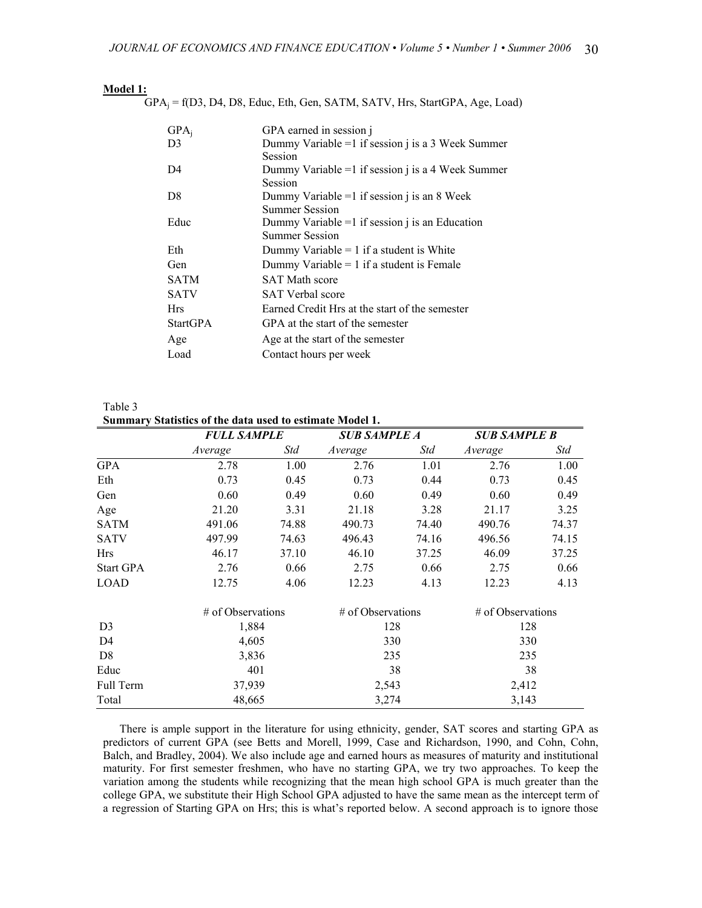| Model |  |
|-------|--|
|       |  |
|       |  |

 $GPA_i = f(D3, D4, D8, Educ, Eth, Gen, SATM, SATV, Hrs, StartGPA, Age, Load)$ 

| $GPA_i$         | GPA earned in session j                              |
|-----------------|------------------------------------------------------|
| D <sub>3</sub>  | Dummy Variable = $1$ if session j is a 3 Week Summer |
|                 | Session                                              |
| D4              | Dummy Variable = $1$ if session j is a 4 Week Summer |
|                 | Session                                              |
| D <sup>8</sup>  | Dummy Variable $=1$ if session j is an 8 Week        |
|                 | <b>Summer Session</b>                                |
| Educ            | Dummy Variable $=1$ if session j is an Education     |
|                 | <b>Summer Session</b>                                |
| Eth             | Dummy Variable $= 1$ if a student is White           |
| Gen             | Dummy Variable $= 1$ if a student is Female          |
| <b>SATM</b>     | <b>SAT Math score</b>                                |
| <b>SATV</b>     | <b>SAT Verbal score</b>                              |
| <b>Hrs</b>      | Earned Credit Hrs at the start of the semester       |
| <b>StartGPA</b> | GPA at the start of the semester                     |
| Age             | Age at the start of the semester                     |
| Load            | Contact hours per week                               |

Table 3 **Summary Statistics of the data used to estimate Model 1.**

|                  |                   | <b>FULL SAMPLE</b> |                   | <b>SUB SAMPLE A</b> |                   | <b>SUB SAMPLE B</b> |  |
|------------------|-------------------|--------------------|-------------------|---------------------|-------------------|---------------------|--|
|                  | Average           | Std                | Average           | Std                 | Average           | Std                 |  |
| <b>GPA</b>       | 2.78              | 1.00               | 2.76              | 1.01                | 2.76              | 1.00                |  |
| Eth              | 0.73              | 0.45               | 0.73              | 0.44                | 0.73              | 0.45                |  |
| Gen              | 0.60              | 0.49               | 0.60              | 0.49                | 0.60              | 0.49                |  |
| Age              | 21.20             | 3.31               | 21.18             | 3.28                | 21.17             | 3.25                |  |
| <b>SATM</b>      | 491.06            | 74.88              | 490.73            | 74.40               | 490.76            | 74.37               |  |
| <b>SATV</b>      | 497.99            | 74.63              | 496.43            | 74.16               | 496.56            | 74.15               |  |
| <b>Hrs</b>       | 46.17             | 37.10              | 46.10             | 37.25               | 46.09             | 37.25               |  |
| <b>Start GPA</b> | 2.76              | 0.66               | 2.75              | 0.66                | 2.75              | 0.66                |  |
| LOAD             | 12.75             | 4.06               | 12.23             | 4.13                | 12.23             | 4.13                |  |
|                  | # of Observations |                    | # of Observations |                     | # of Observations |                     |  |
| D <sub>3</sub>   | 1,884             |                    |                   | 128                 |                   | 128                 |  |
| D <sub>4</sub>   | 4,605             |                    | 330               |                     | 330               |                     |  |
| D <sub>8</sub>   | 3,836             |                    | 235               |                     | 235               |                     |  |
| Educ             | 401               |                    | 38                |                     | 38                |                     |  |
| <b>Full Term</b> | 37,939            |                    | 2,543             |                     | 2,412             |                     |  |
| Total            | 48,665            |                    | 3,274             |                     | 3,143             |                     |  |

There is ample support in the literature for using ethnicity, gender, SAT scores and starting GPA as predictors of current GPA (see Betts and Morell, 1999, Case and Richardson, 1990, and Cohn, Cohn, Balch, and Bradley, 2004). We also include age and earned hours as measures of maturity and institutional maturity. For first semester freshmen, who have no starting GPA, we try two approaches. To keep the variation among the students while recognizing that the mean high school GPA is much greater than the college GPA, we substitute their High School GPA adjusted to have the same mean as the intercept term of a regression of Starting GPA on Hrs; this is what's reported below. A second approach is to ignore those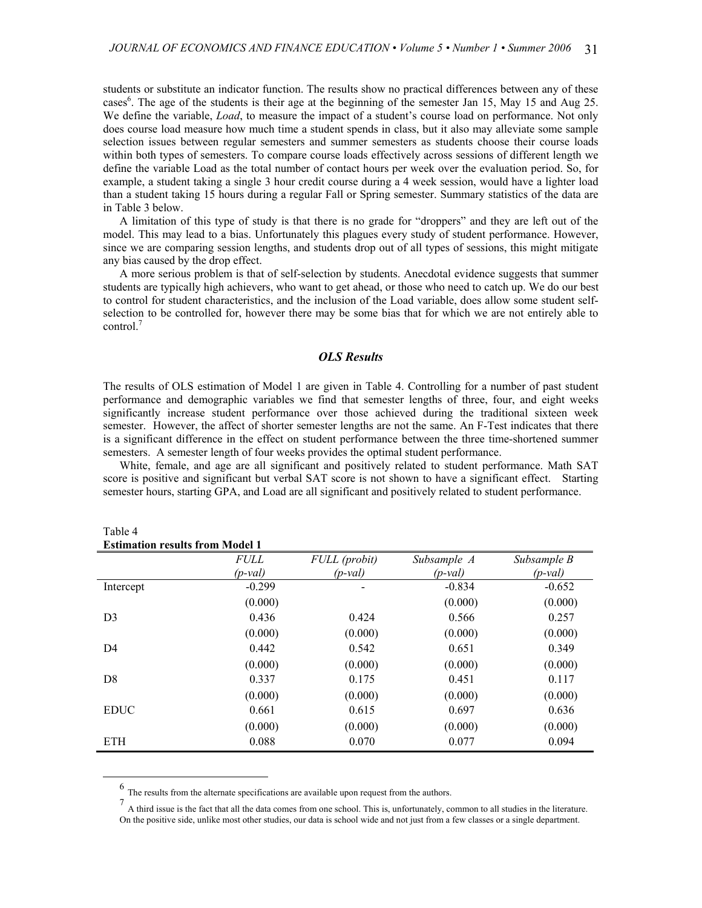students or substitute an indicator function. The results show no practical differences between any of these cases<sup>6</sup>. The age of the students is their age at the beginning of the semester Jan 15, May 15 and Aug 25. We define the variable, *Load*, to measure the impact of a student's course load on performance. Not only does course load measure how much time a student spends in class, but it also may alleviate some sample selection issues between regular semesters and summer semesters as students choose their course loads within both types of semesters. To compare course loads effectively across sessions of different length we define the variable Load as the total number of contact hours per week over the evaluation period. So, for example, a student taking a single 3 hour credit course during a 4 week session, would have a lighter load than a student taking 15 hours during a regular Fall or Spring semester. Summary statistics of the data are in Table 3 below.

A limitation of this type of study is that there is no grade for "droppers" and they are left out of the model. This may lead to a bias. Unfortunately this plagues every study of student performance. However, since we are comparing session lengths, and students drop out of all types of sessions, this might mitigate any bias caused by the drop effect.

A more serious problem is that of self-selection by students. Anecdotal evidence suggests that summer students are typically high achievers, who want to get ahead, or those who need to catch up. We do our best to control for student characteristics, and the inclusion of the Load variable, does allow some student selfselection to be controlled for, however there may be some bias that for which we are not entirely able to control. [7](#page-5-1)

## *OLS Results*

The results of OLS estimation of Model 1 are given in Table 4. Controlling for a number of past student performance and demographic variables we find that semester lengths of three, four, and eight weeks significantly increase student performance over those achieved during the traditional sixteen week semester. However, the affect of shorter semester lengths are not the same. An F-Test indicates that there is a significant difference in the effect on student performance between the three time-shortened summer semesters. A semester length of four weeks provides the optimal student performance.

White, female, and age are all significant and positively related to student performance. Math SAT score is positive and significant but verbal SAT score is not shown to have a significant effect. Starting semester hours, starting GPA, and Load are all significant and positively related to student performance.

| Estimation results from blouer F |             |               |             |             |
|----------------------------------|-------------|---------------|-------------|-------------|
|                                  | <i>FULL</i> | FULL (probit) | Subsample A | Subsample B |
|                                  | $(p$ -val)  | $(p$ -val)    | $(p$ -val)  | $(p$ -val)  |
| Intercept                        | $-0.299$    |               | $-0.834$    | $-0.652$    |
|                                  | (0.000)     |               | (0.000)     | (0.000)     |
| D <sub>3</sub>                   | 0.436       | 0.424         | 0.566       | 0.257       |
|                                  | (0.000)     | (0.000)       | (0.000)     | (0.000)     |
| D <sub>4</sub>                   | 0.442       | 0.542         | 0.651       | 0.349       |
|                                  | (0.000)     | (0.000)       | (0.000)     | (0.000)     |
| D <sub>8</sub>                   | 0.337       | 0.175         | 0.451       | 0.117       |
|                                  | (0.000)     | (0.000)       | (0.000)     | (0.000)     |
| <b>EDUC</b>                      | 0.661       | 0.615         | 0.697       | 0.636       |
|                                  | (0.000)     | (0.000)       | (0.000)     | (0.000)     |
| <b>ETH</b>                       | 0.088       | 0.070         | 0.077       | 0.094       |

| Table 4                                |  |  |
|----------------------------------------|--|--|
| <b>Estimation results from Model 1</b> |  |  |

 <sup>6</sup> The results from the alternate specifications are available upon request from the authors.

<span id="page-5-1"></span><span id="page-5-0"></span><sup>7</sup> A third issue is the fact that all the data comes from one school. This is, unfortunately, common to all studies in the literature. On the positive side, unlike most other studies, our data is school wide and not just from a few classes or a single department.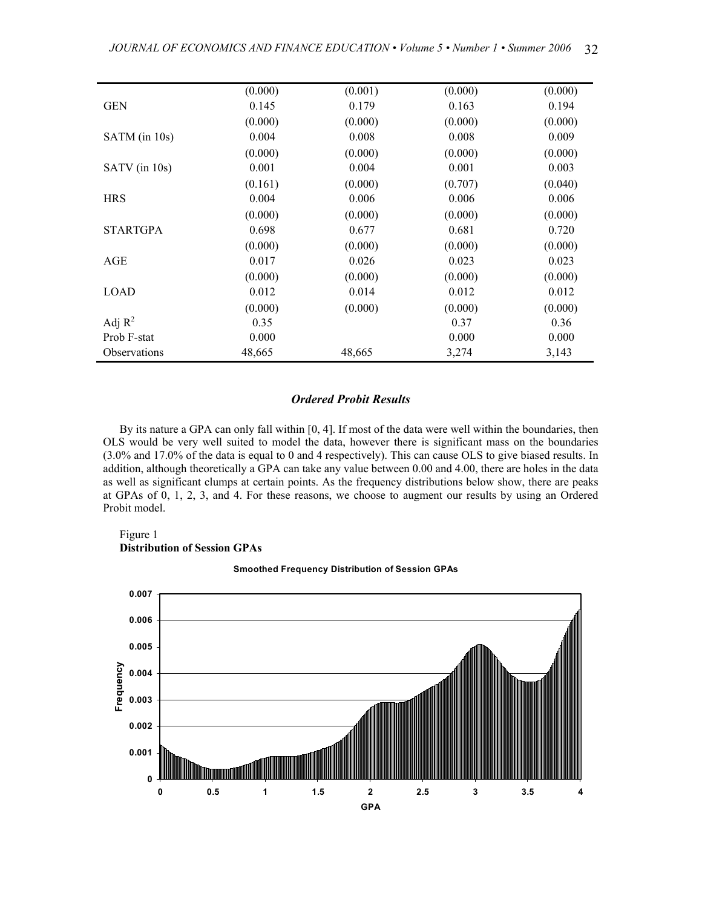|                     | (0.000) | (0.001) | (0.000) | (0.000) |
|---------------------|---------|---------|---------|---------|
| <b>GEN</b>          | 0.145   | 0.179   | 0.163   | 0.194   |
|                     | (0.000) | (0.000) | (0.000) | (0.000) |
| SATM (in 10s)       | 0.004   | 0.008   | 0.008   | 0.009   |
|                     | (0.000) | (0.000) | (0.000) | (0.000) |
| SATV (in 10s)       | 0.001   | 0.004   | 0.001   | 0.003   |
|                     | (0.161) | (0.000) | (0.707) | (0.040) |
| <b>HRS</b>          | 0.004   | 0.006   | 0.006   | 0.006   |
|                     | (0.000) | (0.000) | (0.000) | (0.000) |
| <b>STARTGPA</b>     | 0.698   | 0.677   | 0.681   | 0.720   |
|                     | (0.000) | (0.000) | (0.000) | (0.000) |
| AGE                 | 0.017   | 0.026   | 0.023   | 0.023   |
|                     | (0.000) | (0.000) | (0.000) | (0.000) |
| <b>LOAD</b>         | 0.012   | 0.014   | 0.012   | 0.012   |
|                     | (0.000) | (0.000) | (0.000) | (0.000) |
| Adj $R^2$           | 0.35    |         | 0.37    | 0.36    |
| Prob F-stat         | 0.000   |         | 0.000   | 0.000   |
| <b>Observations</b> | 48,665  | 48,665  | 3,274   | 3,143   |

## *Ordered Probit Results*

By its nature a GPA can only fall within [0, 4]. If most of the data were well within the boundaries, then OLS would be very well suited to model the data, however there is significant mass on the boundaries (3.0% and 17.0% of the data is equal to 0 and 4 respectively). This can cause OLS to give biased results. In addition, although theoretically a GPA can take any value between 0.00 and 4.00, there are holes in the data as well as significant clumps at certain points. As the frequency distributions below show, there are peaks at GPAs of 0, 1, 2, 3, and 4. For these reasons, we choose to augment our results by using an Ordered Probit model.

#### Figure 1 **Distribution of Session GPAs**

#### **Smoothed Frequency Distribution of Session GPAs**

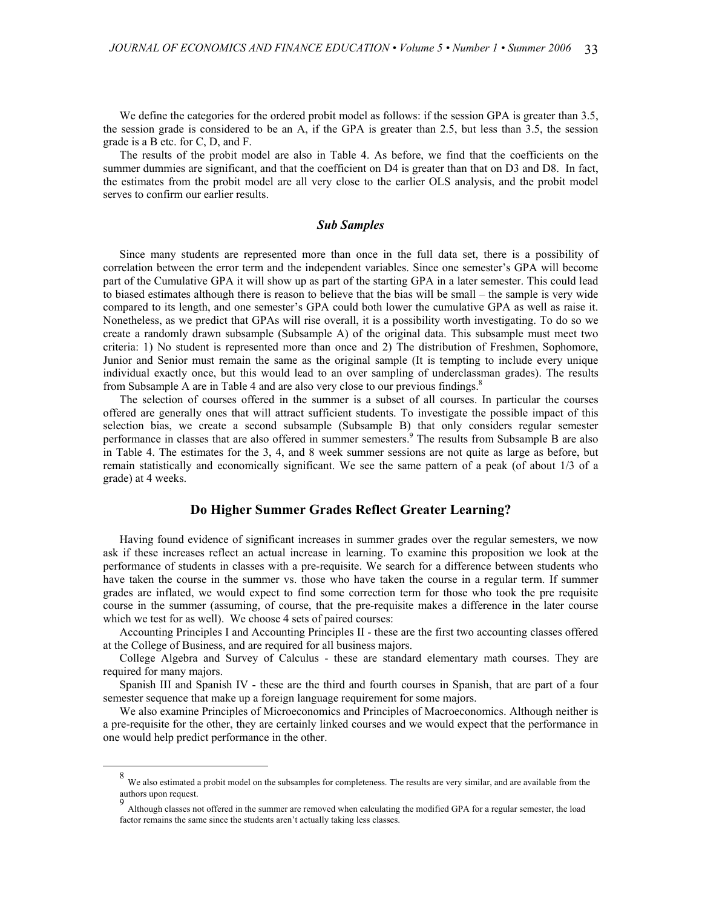We define the categories for the ordered probit model as follows: if the session GPA is greater than 3.5, the session grade is considered to be an A, if the GPA is greater than 2.5, but less than 3.5, the session grade is a B etc. for C, D, and F.

The results of the probit model are also in Table 4. As before, we find that the coefficients on the summer dummies are significant, and that the coefficient on D4 is greater than that on D3 and D8. In fact, the estimates from the probit model are all very close to the earlier OLS analysis, and the probit model serves to confirm our earlier results.

## *Sub Samples*

Since many students are represented more than once in the full data set, there is a possibility of correlation between the error term and the independent variables. Since one semester's GPA will become part of the Cumulative GPA it will show up as part of the starting GPA in a later semester. This could lead to biased estimates although there is reason to believe that the bias will be small – the sample is very wide compared to its length, and one semester's GPA could both lower the cumulative GPA as well as raise it. Nonetheless, as we predict that GPAs will rise overall, it is a possibility worth investigating. To do so we create a randomly drawn subsample (Subsample A) of the original data. This subsample must meet two criteria: 1) No student is represented more than once and 2) The distribution of Freshmen, Sophomore, Junior and Senior must remain the same as the original sample (It is tempting to include every unique individual exactly once, but this would lead to an over sampling of underclassman grades). The results from Subsample A are in Table 4 and are also very close to our previous findings. $8$ 

The selection of courses offered in the summer is a subset of all courses. In particular the courses offered are generally ones that will attract sufficient students. To investigate the possible impact of this selection bias, we create a second subsample (Subsample B) that only considers regular semester performance in classes that are also offered in summer semesters.<sup>9</sup> [T](#page-7-1)he results from Subsample B are also in Table 4. The estimates for the 3, 4, and 8 week summer sessions are not quite as large as before, but remain statistically and economically significant. We see the same pattern of a peak (of about 1/3 of a grade) at 4 weeks.

# **Do Higher Summer Grades Reflect Greater Learning?**

Having found evidence of significant increases in summer grades over the regular semesters, we now ask if these increases reflect an actual increase in learning. To examine this proposition we look at the performance of students in classes with a pre-requisite. We search for a difference between students who have taken the course in the summer vs. those who have taken the course in a regular term. If summer grades are inflated, we would expect to find some correction term for those who took the pre requisite course in the summer (assuming, of course, that the pre-requisite makes a difference in the later course which we test for as well). We choose 4 sets of paired courses:

Accounting Principles I and Accounting Principles II - these are the first two accounting classes offered at the College of Business, and are required for all business majors.

College Algebra and Survey of Calculus - these are standard elementary math courses. They are required for many majors.

Spanish III and Spanish IV - these are the third and fourth courses in Spanish, that are part of a four semester sequence that make up a foreign language requirement for some majors.

We also examine Principles of Microeconomics and Principles of Macroeconomics. Although neither is a pre-requisite for the other, they are certainly linked courses and we would expect that the performance in one would help predict performance in the other.

<span id="page-7-0"></span> <sup>8</sup> We also estimated a probit model on the subsamples for completeness. The results are very similar, and are available from the  $\frac{1}{2}$  usumated authors upon request.

<span id="page-7-1"></span><sup>9</sup> Although classes not offered in the summer are removed when calculating the modified GPA for a regular semester, the load factor remains the same since the students aren't actually taking less classes.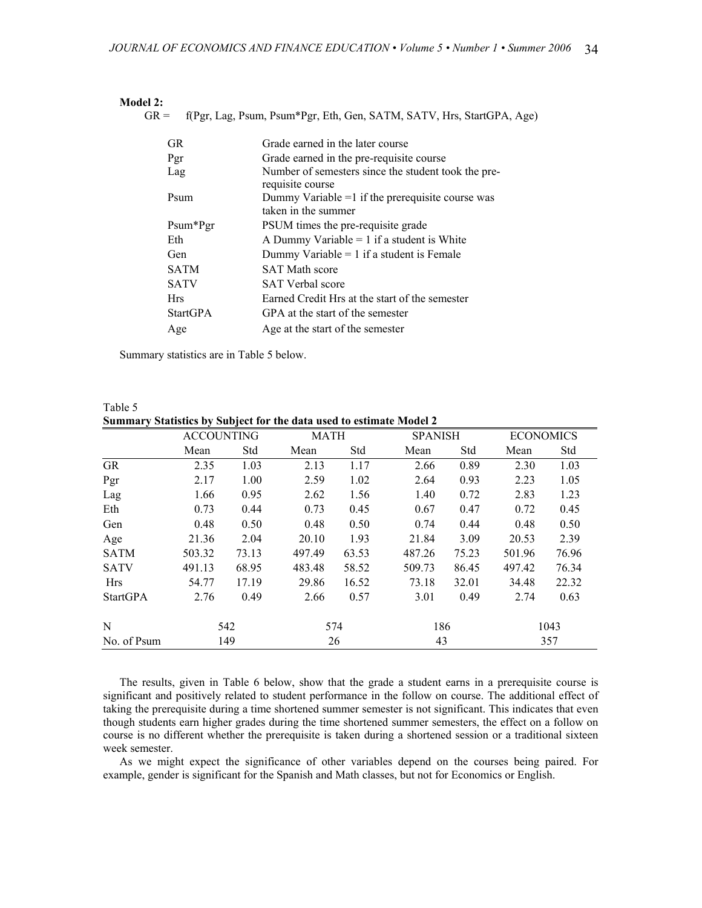| Model 2:        |                                                                           |
|-----------------|---------------------------------------------------------------------------|
| $GR =$          | f(Pgr, Lag, Psum, Psum*Pgr, Eth, Gen, SATM, SATV, Hrs, StartGPA, Age)     |
|                 |                                                                           |
| GR.             | Grade earned in the later course                                          |
| Pgr             | Grade earned in the pre-requisite course                                  |
| Lag             | Number of semesters since the student took the pre-<br>requisite course   |
| Psum            | Dummy Variable $=1$ if the prerequisite course was<br>taken in the summer |
| Psum*Pgr        | PSUM times the pre-requisite grade                                        |
| Eth             | A Dummy Variable $= 1$ if a student is White                              |
| Gen             | Dummy Variable $= 1$ if a student is Female                               |
| <b>SATM</b>     | <b>SAT Math score</b>                                                     |
| <b>SATV</b>     | <b>SAT Verbal score</b>                                                   |
| <b>Hrs</b>      | Earned Credit Hrs at the start of the semester                            |
| <b>StartGPA</b> | GPA at the start of the semester                                          |
| Age             | Age at the start of the semester                                          |

Summary statistics are in Table 5 below.

|                 | <b>ACCOUNTING</b> |       | MATH   |       | <b>SPANISH</b> |       | <b>ECONOMICS</b> |       |
|-----------------|-------------------|-------|--------|-------|----------------|-------|------------------|-------|
|                 | Mean              | Std   | Mean   | Std   | Mean           | Std   | Mean             | Std   |
| GR              | 2.35              | 1.03  | 2.13   | 1.17  | 2.66           | 0.89  | 2.30             | 1.03  |
| Pgr             | 2.17              | 1.00  | 2.59   | 1.02  | 2.64           | 0.93  | 2.23             | 1.05  |
| Lag             | 1.66              | 0.95  | 2.62   | 1.56  | 1.40           | 0.72  | 2.83             | 1.23  |
| Eth             | 0.73              | 0.44  | 0.73   | 0.45  | 0.67           | 0.47  | 0.72             | 0.45  |
| Gen             | 0.48              | 0.50  | 0.48   | 0.50  | 0.74           | 0.44  | 0.48             | 0.50  |
| Age             | 21.36             | 2.04  | 20.10  | 1.93  | 21.84          | 3.09  | 20.53            | 2.39  |
| <b>SATM</b>     | 503.32            | 73.13 | 497.49 | 63.53 | 487.26         | 75.23 | 501.96           | 76.96 |
| <b>SATV</b>     | 491.13            | 68.95 | 483.48 | 58.52 | 509.73         | 86.45 | 497.42           | 76.34 |
| Hrs             | 54.77             | 17.19 | 29.86  | 16.52 | 73.18          | 32.01 | 34.48            | 22.32 |
| <b>StartGPA</b> | 2.76              | 0.49  | 2.66   | 0.57  | 3.01           | 0.49  | 2.74             | 0.63  |
| N               |                   | 542   |        | 574   | 186            |       |                  | 1043  |
| No. of Psum     |                   | 149   |        | 26    | 43             |       |                  | 357   |

Table 5 **Summary Statistics by Subject for the data used to estimate Model 2**

The results, given in Table 6 below, show that the grade a student earns in a prerequisite course is significant and positively related to student performance in the follow on course. The additional effect of taking the prerequisite during a time shortened summer semester is not significant. This indicates that even though students earn higher grades during the time shortened summer semesters, the effect on a follow on course is no different whether the prerequisite is taken during a shortened session or a traditional sixteen week semester.

As we might expect the significance of other variables depend on the courses being paired. For example, gender is significant for the Spanish and Math classes, but not for Economics or English.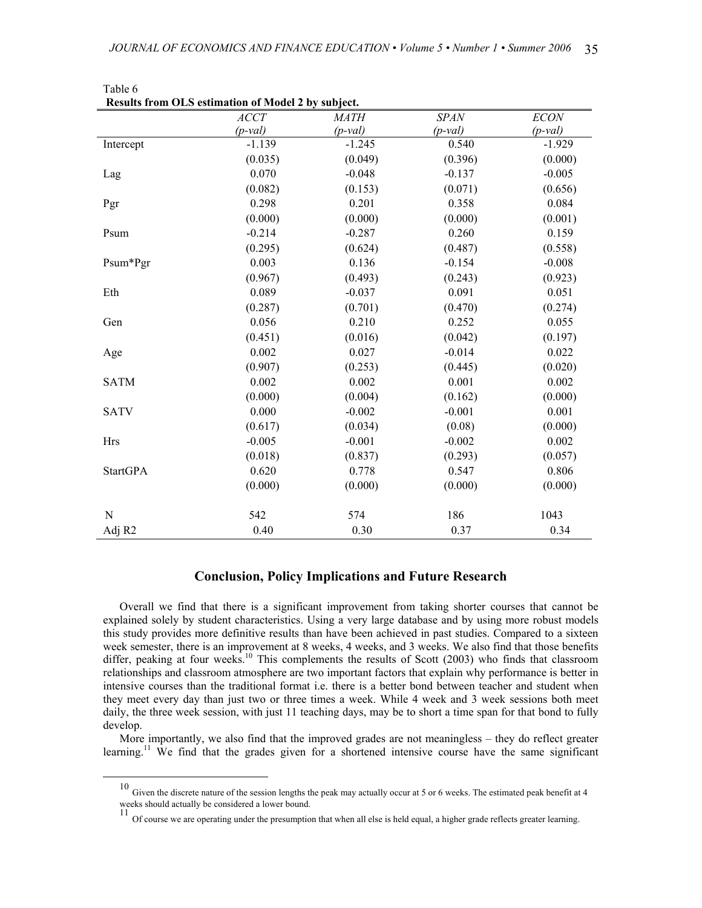|                 | Results from OLS estimation of Model 2 by subject. |             |             |             |
|-----------------|----------------------------------------------------|-------------|-------------|-------------|
|                 | <b>ACCT</b>                                        | <i>MATH</i> | <b>SPAN</b> | <b>ECON</b> |
|                 | $(p$ -val)                                         | $(p$ -val)  | $(p$ -val)  | $(p$ -val)  |
| Intercept       | $-1.139$                                           | $-1.245$    | 0.540       | $-1.929$    |
|                 | (0.035)                                            | (0.049)     | (0.396)     | (0.000)     |
| Lag             | 0.070                                              | $-0.048$    | $-0.137$    | $-0.005$    |
|                 | (0.082)                                            | (0.153)     | (0.071)     | (0.656)     |
| Pgr             | 0.298                                              | 0.201       | 0.358       | 0.084       |
|                 | (0.000)                                            | (0.000)     | (0.000)     | (0.001)     |
| Psum            | $-0.214$                                           | $-0.287$    | 0.260       | 0.159       |
|                 | (0.295)                                            | (0.624)     | (0.487)     | (0.558)     |
| Psum*Pgr        | 0.003                                              | 0.136       | $-0.154$    | $-0.008$    |
|                 | (0.967)                                            | (0.493)     | (0.243)     | (0.923)     |
| Eth             | 0.089                                              | $-0.037$    | 0.091       | 0.051       |
|                 | (0.287)                                            | (0.701)     | (0.470)     | (0.274)     |
| Gen             | 0.056                                              | 0.210       | 0.252       | 0.055       |
|                 | (0.451)                                            | (0.016)     | (0.042)     | (0.197)     |
| Age             | 0.002                                              | 0.027       | $-0.014$    | 0.022       |
|                 | (0.907)                                            | (0.253)     | (0.445)     | (0.020)     |
| <b>SATM</b>     | 0.002                                              | 0.002       | 0.001       | 0.002       |
|                 | (0.000)                                            | (0.004)     | (0.162)     | (0.000)     |
| <b>SATV</b>     | 0.000                                              | $-0.002$    | $-0.001$    | 0.001       |
|                 | (0.617)                                            | (0.034)     | (0.08)      | (0.000)     |
| <b>Hrs</b>      | $-0.005$                                           | $-0.001$    | $-0.002$    | 0.002       |
|                 | (0.018)                                            | (0.837)     | (0.293)     | (0.057)     |
| <b>StartGPA</b> | 0.620                                              | 0.778       | 0.547       | 0.806       |
|                 | (0.000)                                            | (0.000)     | (0.000)     | (0.000)     |
|                 |                                                    |             |             |             |
| N               | 542                                                | 574         | 186         | 1043        |
| Adj R2          | 0.40                                               | 0.30        | 0.37        | 0.34        |

Table  $6$ <br>**Possite from Results from OLS estimation of Model 2 by subject.**

# **Conclusion, Policy Implications and Future Research**

Overall we find that there is a significant improvement from taking shorter courses that cannot be explained solely by student characteristics. Using a very large database and by using more robust models this study provides more definitive results than have been achieved in past studies. Compared to a sixteen week semester, there is an improvement at 8 weeks, 4 weeks, and 3 weeks. We also find that those benefits differ, peaking at four weeks.<sup>10</sup> This complements the results of Scott (2003) who finds that classroom relationships and classroom atmosphere are two important factors that explain why performance is better in intensive courses than the traditional format i.e. there is a better bond between teacher and student when they meet every day than just two or three times a week. While 4 week and 3 week sessions both meet daily, the three week session, with just 11 teaching days, may be to short a time span for that bond to fully develop.

More importantly, we also find that the improved grades are not meaningless – they do reflect greater learning.<sup>11</sup> We find that the grades given for a shortened intensive course have the same significant

<span id="page-9-0"></span> <sup>10</sup> Given the discrete nature of the session lengths the peak may actually occur at 5 or 6 weeks. The estimated peak benefit at 4 weeks should actually be considered a lower bound.

<span id="page-9-1"></span><sup>11</sup> Of course we are operating under the presumption that when all else is held equal, a higher grade reflects greater learning.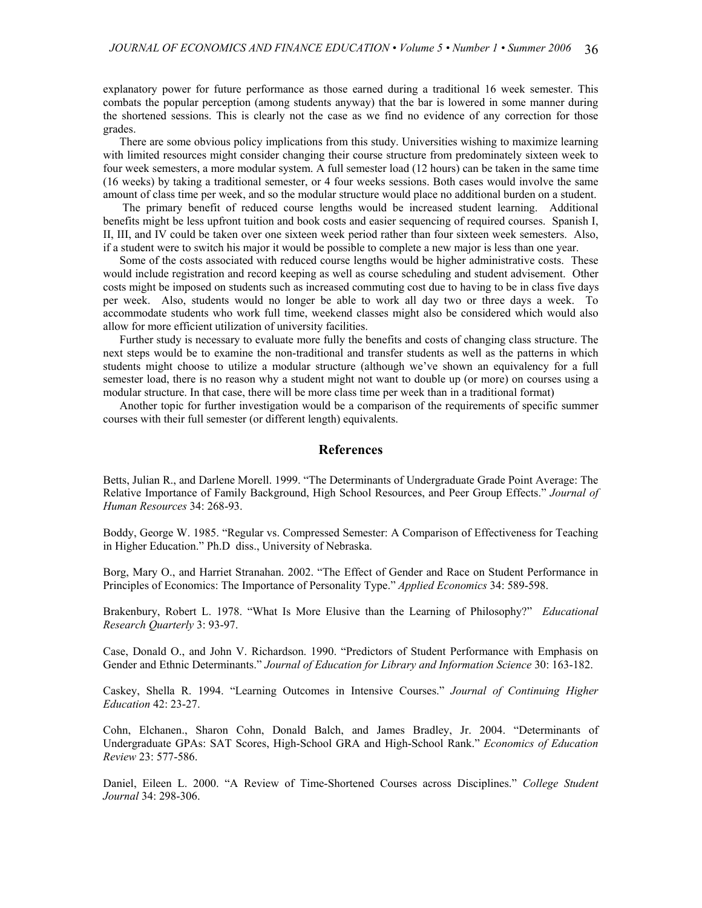explanatory power for future performance as those earned during a traditional 16 week semester. This combats the popular perception (among students anyway) that the bar is lowered in some manner during the shortened sessions. This is clearly not the case as we find no evidence of any correction for those grades.

There are some obvious policy implications from this study. Universities wishing to maximize learning with limited resources might consider changing their course structure from predominately sixteen week to four week semesters, a more modular system. A full semester load (12 hours) can be taken in the same time (16 weeks) by taking a traditional semester, or 4 four weeks sessions. Both cases would involve the same amount of class time per week, and so the modular structure would place no additional burden on a student.

The primary benefit of reduced course lengths would be increased student learning. Additional benefits might be less upfront tuition and book costs and easier sequencing of required courses. Spanish I, II, III, and IV could be taken over one sixteen week period rather than four sixteen week semesters. Also, if a student were to switch his major it would be possible to complete a new major is less than one year.

Some of the costs associated with reduced course lengths would be higher administrative costs. These would include registration and record keeping as well as course scheduling and student advisement. Other costs might be imposed on students such as increased commuting cost due to having to be in class five days per week. Also, students would no longer be able to work all day two or three days a week. To accommodate students who work full time, weekend classes might also be considered which would also allow for more efficient utilization of university facilities.

Further study is necessary to evaluate more fully the benefits and costs of changing class structure. The next steps would be to examine the non-traditional and transfer students as well as the patterns in which students might choose to utilize a modular structure (although we've shown an equivalency for a full semester load, there is no reason why a student might not want to double up (or more) on courses using a modular structure. In that case, there will be more class time per week than in a traditional format)

Another topic for further investigation would be a comparison of the requirements of specific summer courses with their full semester (or different length) equivalents.

# **References**

Betts, Julian R., and Darlene Morell. 1999. "The Determinants of Undergraduate Grade Point Average: The Relative Importance of Family Background, High School Resources, and Peer Group Effects." *Journal of Human Resources* 34: 268-93.

Boddy, George W. 1985. "Regular vs. Compressed Semester: A Comparison of Effectiveness for Teaching in Higher Education." Ph.D diss., University of Nebraska.

Borg, Mary O., and Harriet Stranahan. 2002. "The Effect of Gender and Race on Student Performance in Principles of Economics: The Importance of Personality Type." *Applied Economics* 34: 589-598.

Brakenbury, Robert L. 1978. "What Is More Elusive than the Learning of Philosophy?" *Educational Research Quarterly* 3: 93-97.

Case, Donald O., and John V. Richardson. 1990. "Predictors of Student Performance with Emphasis on Gender and Ethnic Determinants." *Journal of Education for Library and Information Science* 30: 163-182.

Caskey, Shella R. 1994. "Learning Outcomes in Intensive Courses." *Journal of Continuing Higher Education* 42: 23-27.

Cohn, Elchanen., Sharon Cohn, Donald Balch, and James Bradley, Jr. 2004. "Determinants of Undergraduate GPAs: SAT Scores, High-School GRA and High-School Rank." *Economics of Education Review* 23: 577-586.

Daniel, Eileen L. 2000. "A Review of Time-Shortened Courses across Disciplines." *College Student Journal* 34: 298-306.